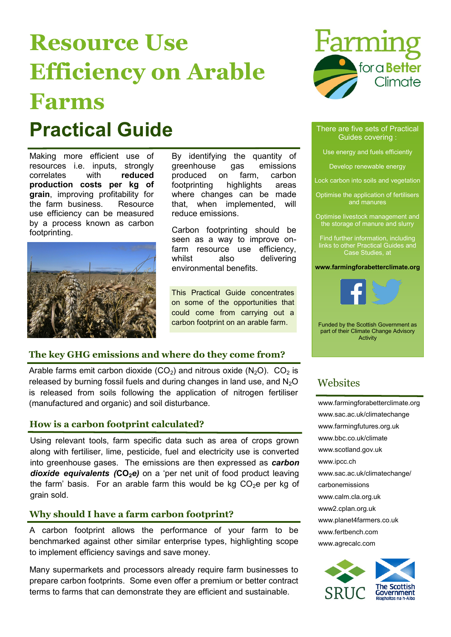# **Resource Use Efficiency on Arable Farms Practical Guide** There are five sets of Practical

Making more efficient use of resources i.e. inputs, strongly correlates with **reduced production costs per kg of grain**, improving profitability for the farm business. Resource use efficiency can be measured by a process known as carbon footprinting.



By identifying the quantity of greenhouse gas emissions produced on farm, carbon footprinting highlights areas where changes can be made that, when implemented, will reduce emissions.

Carbon footprinting should be seen as a way to improve onfarm resource use efficiency, whilst also delivering environmental benefits.

This Practical Guide concentrates on some of the opportunities that could come from carrying out a carbon footprint on an arable farm.

## **The key GHG emissions and where do they come from?**

Arable farms emit carbon dioxide (CO<sub>2</sub>) and nitrous oxide (N<sub>2</sub>O). CO<sub>2</sub> is released by burning fossil fuels and during changes in land use, and  $N_2O$ is released from soils following the application of nitrogen fertiliser (manufactured and organic) and soil disturbance.

### **How is a carbon footprint calculated?**

Using relevant tools, farm specific data such as area of crops grown along with fertiliser, lime, pesticide, fuel and electricity use is converted into greenhouse gases. The emissions are then expressed as *carbon dioxide equivalents (***CO2***e)* on a 'per net unit of food product leaving the farm' basis. For an arable farm this would be kg  $CO<sub>2</sub>e$  per kg of grain sold.

### **Why should I have a farm carbon footprint?**

A carbon footprint allows the performance of your farm to be benchmarked against other similar enterprise types, highlighting scope to implement efficiency savings and save money.

Many supermarkets and processors already require farm businesses to prepare carbon footprints. Some even offer a premium or better contract terms to farms that can demonstrate they are efficient and sustainable.



## Guides covering :

Use energy and fuels efficiently

Develop renewable energy

Lock carbon into soils and vegetation

Optimise the application of fertilisers and manures

Optimise livestock management and the storage of manure and slurry

Find further information, including links to other Practical Guides and Case Studies, at

**www.farmingforabetterclimate.org**



Funded by the Scottish Government as part of their Climate Change Advisory Activity

## **Websites**

[www.farmingforabetterclimate.org](http://www.farmingforabetterclimate.org/) [www.sac.ac.uk/climatechange](http://www.sac.ac.uk/climatechange) [www.farmingfutures.org.uk](http://www.farmingfutures.org.uk) [www.bbc.co.uk/climate](http://www.bbc.co.uk/climate) [www.scotland.gov.uk](http://www.scotland.gov.uk) [www.ipcc.ch](http://www.ipcc.ch) [www.sac.ac.uk/climatechange/](http://www.sac.ac.uk/climatechange/carbonemissions) [carbonemissions](http://www.sac.ac.uk/climatechange/carbonemissions) [www.calm.cla.org.uk](http://www..calm.cla.org.uk) <www2.cplan.org.uk> [www.planet4farmers.co.uk](http://www.planet4farmers.co.uk) [www.fertbench.com](http://www.fertbench.com) [www.agrecalc.com](http://www.agrecalc.com/)